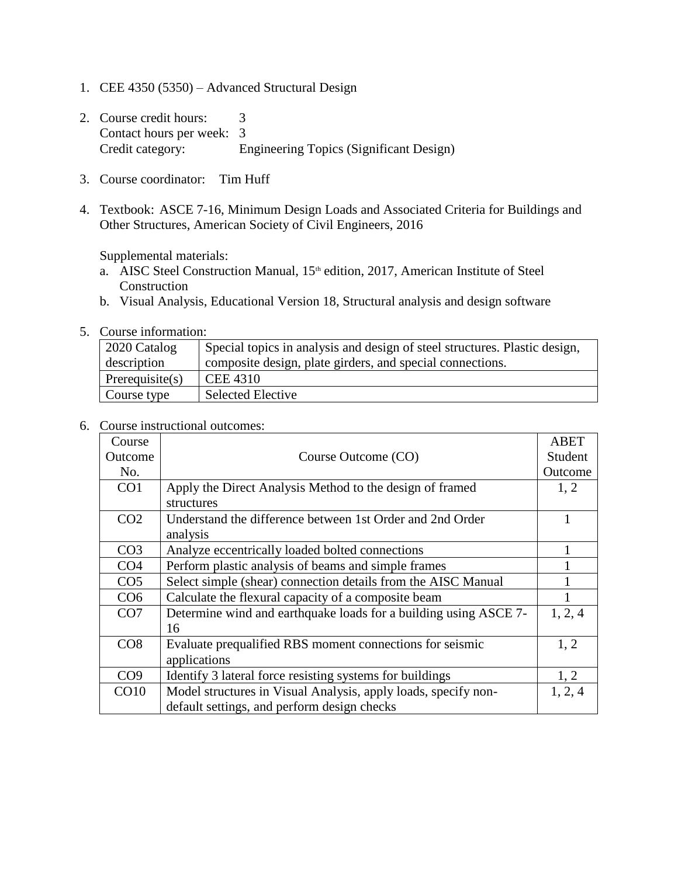- 1. CEE 4350 (5350) Advanced Structural Design
- 2. Course credit hours: 3 Contact hours per week: 3 Credit category: Engineering Topics (Significant Design)
- 3. Course coordinator: Tim Huff
- 4. Textbook: ASCE 7-16, Minimum Design Loads and Associated Criteria for Buildings and Other Structures, American Society of Civil Engineers, 2016

Supplemental materials:

- a. AISC Steel Construction Manual, 15<sup>th</sup> edition, 2017, American Institute of Steel Construction
- b. Visual Analysis, Educational Version 18, Structural analysis and design software
- 5. Course information:

| 2020 Catalog       | Special topics in analysis and design of steel structures. Plastic design, |
|--------------------|----------------------------------------------------------------------------|
| description        | composite design, plate girders, and special connections.                  |
| Prerequisite $(s)$ | <b>CEE 4310</b>                                                            |
| Course type        | <b>Selected Elective</b>                                                   |

6. Course instructional outcomes:

| Course          |                                                                  | <b>ABET</b> |
|-----------------|------------------------------------------------------------------|-------------|
| Outcome         | Course Outcome (CO)                                              | Student     |
| No.             |                                                                  | Outcome     |
| CO <sub>1</sub> | Apply the Direct Analysis Method to the design of framed         | 1, 2        |
|                 | structures                                                       |             |
| CO <sub>2</sub> | Understand the difference between 1st Order and 2nd Order        |             |
|                 | analysis                                                         |             |
| CO <sub>3</sub> | Analyze eccentrically loaded bolted connections                  |             |
| CO <sub>4</sub> | Perform plastic analysis of beams and simple frames              |             |
| CO <sub>5</sub> | Select simple (shear) connection details from the AISC Manual    |             |
| CO <sub>6</sub> | Calculate the flexural capacity of a composite beam              |             |
| CO7             | Determine wind and earthquake loads for a building using ASCE 7- | 1, 2, 4     |
|                 | 16                                                               |             |
| CO8             | Evaluate prequalified RBS moment connections for seismic         | 1, 2        |
|                 | applications                                                     |             |
| CO <sub>9</sub> | Identify 3 lateral force resisting systems for buildings         | 1, 2        |
| CO10            | Model structures in Visual Analysis, apply loads, specify non-   | 1, 2, 4     |
|                 | default settings, and perform design checks                      |             |